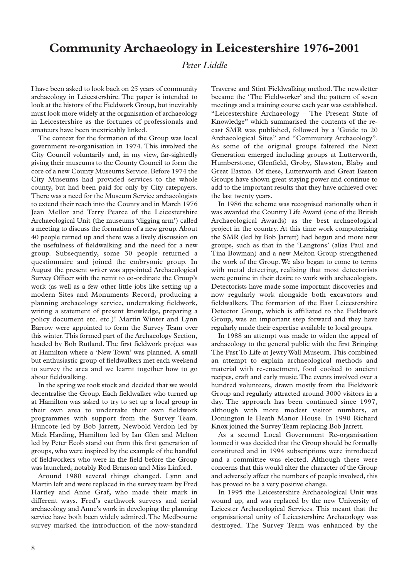## **Community Archaeology in Leicestershire 1976-2001**

## *Peter Liddle*

I have been asked to look back on 25 years of community archaeology in Leicestershire. The paper is intended to look at the history of the Fieldwork Group, but inevitably must look more widely at the organisation of archaeology in Leicestershire as the fortunes of professionals and amateurs have been inextricably linked.

The context for the formation of the Group was local government re-organisation in 1974. This involved the City Council voluntarily and, in my view, far-sightedly giving their museums to the County Council to form the core of a new County Museums Service. Before 1974 the City Museums had provided services to the whole county, but had been paid for only by City ratepayers. There was a need for the Museum Service archaeologists to extend their reach into the County and in March 1976 Jean Mellor and Terry Pearce of the Leicestershire Archaeological Unit (the museums 'digging arm') called a meeting to discuss the formation of a new group. About 40 people turned up and there was a lively discussion on the usefulness of fieldwalking and the need for a new group. Subsequently, some 30 people returned a questionnaire and joined the embryonic group. In August the present writer was appointed Archaeological Survey Officer with the remit to co-ordinate the Group's work (as well as a few other little jobs like setting up a modern Sites and Monuments Record, producing a planning archaeology service, undertaking fieldwork, writing a statement of present knowledge, preparing a policy document etc. etc.)! Martin Winter and Lynn Barrow were appointed to form the Survey Team over this winter.This formed part of the Archaeology Section, headed by Bob Rutland. The first fieldwork project was at Hamilton where a 'New Town' was planned. A small but enthusiastic group of fieldwalkers met each weekend to survey the area and we learnt together how to go about fieldwalking.

In the spring we took stock and decided that we would decentralise the Group. Each fieldwalker who turned up at Hamilton was asked to try to set up a local group in their own area to undertake their own fieldwork programmes with support from the Survey Team. Huncote led by Bob Jarrett, Newbold Verdon led by Mick Harding, Hamilton led by Ian Glen and Melton led by Peter Ecob stand out from this first generation of groups, who were inspired by the example of the handful of fieldworkers who were in the field before the Group was launched, notably Rod Branson and Miss Linford.

Around 1980 several things changed. Lynn and Martin left and were replaced in the survey team by Fred Hartley and Anne Graf, who made their mark in different ways. Fred's earthwork surveys and aerial archaeology and Anne's work in developing the planning service have both been widely admired.The Medbourne survey marked the introduction of the now-standard

Traverse and Stint Fieldwalking method.The newsletter became the 'The Fieldworker' and the pattern of seven meetings and a training course each year was established. "Leicestershire Archaeology – The Present State of Knowledge" which summarised the contents of the recast SMR was published, followed by a 'Guide to 20 Archaeological Sites" and "Community Archaeology". As some of the original groups faltered the Next Generation emerged including groups at Lutterworth, Humberstone, Glenfield, Groby, Slawston, Blaby and Great Easton. Of these, Lutterworth and Great Easton Groups have shown great staying power and continue to add to the important results that they have achieved over the last twenty years.

In 1986 the scheme was recognised nationally when it was awarded the Country Life Award (one of the British Archaeological Awards) as the best archaeological project in the country. At this time work computerising the SMR (led by Bob Jarrett) had begun and more new groups, such as that in the 'Langtons' (alias Paul and Tina Bowman) and a new Melton Group strengthened the work of the Group. We also began to come to terms with metal detecting, realising that most detectorists were genuine in their desire to work with archaeologists. Detectorists have made some important discoveries and now regularly work alongside both excavators and fieldwalkers. The formation of the East Leicestershire Detector Group, which is affiliated to the Fieldwork Group, was an important step forward and they have regularly made their expertise available to local groups.

In 1988 an attempt was made to widen the appeal of archaeology to the general public with the first Bringing The Past To Life at Jewry Wall Museum.This combined an attempt to explain archaeological methods and material with re-enactment, food cooked to ancient recipes, craft and early music.The events involved over a hundred volunteers, drawn mostly from the Fieldwork Group and regularly attracted around 3000 visitors in a day. The approach has been continued since 1997, although with more modest visitor numbers, at Donington le Heath Manor House. In 1990 Richard Knox joined the Survey Team replacing Bob Jarrett.

As a second Local Government Re-organisation loomed it was decided that the Group should be formally constituted and in 1994 subscriptions were introduced and a committee was elected. Although there were concerns that this would alter the character of the Group and adversely affect the numbers of people involved, this has proved to be a very positive change.

In 1995 the Leicestershire Archaeological Unit was wound up, and was replaced by the new University of Leicester Archaeological Services. This meant that the organisational unity of Leicestershire Archaeology was destroyed. The Survey Team was enhanced by the